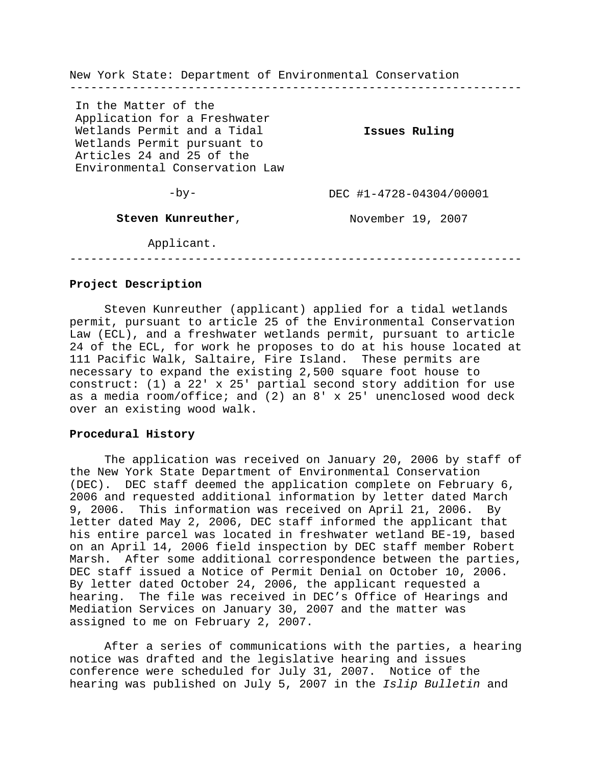New York State: Department of Environmental Conservation ----------------------------------------------------------------- In the Matter of the Application for a Freshwater Wetlands Permit and a Tidal Wetlands Permit pursuant to Articles 24 and 25 of the Environmental Conservation Law  $-by-$ **Steven Kunreuther**, **Issues Ruling** DEC #1-4728-04304/00001 November 19, 2007

Applicant.

-----------------------------------------------------------------

# **Project Description**

Steven Kunreuther (applicant) applied for a tidal wetlands permit, pursuant to article 25 of the Environmental Conservation Law (ECL), and a freshwater wetlands permit, pursuant to article 24 of the ECL, for work he proposes to do at his house located at 111 Pacific Walk, Saltaire, Fire Island. These permits are necessary to expand the existing 2,500 square foot house to construct: (1) a 22' x 25' partial second story addition for use as a media room/office; and (2) an 8' x 25' unenclosed wood deck over an existing wood walk.

## **Procedural History**

The application was received on January 20, 2006 by staff of the New York State Department of Environmental Conservation (DEC). DEC staff deemed the application complete on February 6, 2006 and requested additional information by letter dated March 9, 2006. This information was received on April 21, 2006. By letter dated May 2, 2006, DEC staff informed the applicant that his entire parcel was located in freshwater wetland BE-19, based on an April 14, 2006 field inspection by DEC staff member Robert Marsh. After some additional correspondence between the parties, DEC staff issued a Notice of Permit Denial on October 10, 2006. By letter dated October 24, 2006, the applicant requested a hearing. The file was received in DEC's Office of Hearings and Mediation Services on January 30, 2007 and the matter was assigned to me on February 2, 2007.

After a series of communications with the parties, a hearing notice was drafted and the legislative hearing and issues conference were scheduled for July 31, 2007. Notice of the hearing was published on July 5, 2007 in the *Islip Bulletin* and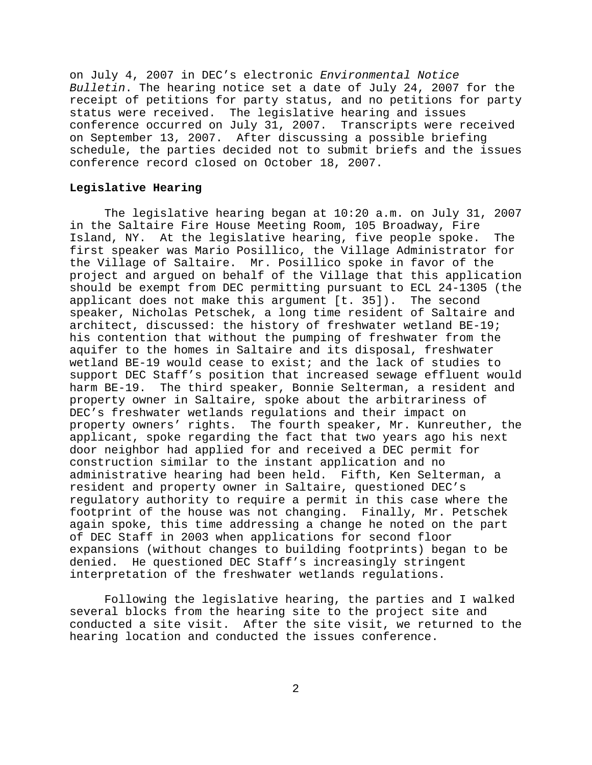on July 4, 2007 in DEC's electronic *Environmental Notice Bulletin*. The hearing notice set a date of July 24, 2007 for the receipt of petitions for party status, and no petitions for party status were received. The legislative hearing and issues conference occurred on July 31, 2007. Transcripts were received on September 13, 2007. After discussing a possible briefing schedule, the parties decided not to submit briefs and the issues conference record closed on October 18, 2007.

#### **Legislative Hearing**

The legislative hearing began at 10:20 a.m. on July 31, 2007 in the Saltaire Fire House Meeting Room, 105 Broadway, Fire Island, NY. At the legislative hearing, five people spoke. The first speaker was Mario Posillico, the Village Administrator for the Village of Saltaire. Mr. Posillico spoke in favor of the project and argued on behalf of the Village that this application should be exempt from DEC permitting pursuant to ECL 24-1305 (the applicant does not make this argument [t. 35]). The second speaker, Nicholas Petschek, a long time resident of Saltaire and architect, discussed: the history of freshwater wetland BE-19; his contention that without the pumping of freshwater from the aquifer to the homes in Saltaire and its disposal, freshwater wetland BE-19 would cease to exist; and the lack of studies to support DEC Staff's position that increased sewage effluent would harm BE-19. The third speaker, Bonnie Selterman, a resident and property owner in Saltaire, spoke about the arbitrariness of DEC's freshwater wetlands regulations and their impact on property owners' rights. The fourth speaker, Mr. Kunreuther, the applicant, spoke regarding the fact that two years ago his next door neighbor had applied for and received a DEC permit for construction similar to the instant application and no administrative hearing had been held. Fifth, Ken Selterman, a resident and property owner in Saltaire, questioned DEC's regulatory authority to require a permit in this case where the footprint of the house was not changing. Finally, Mr. Petschek again spoke, this time addressing a change he noted on the part of DEC Staff in 2003 when applications for second floor expansions (without changes to building footprints) began to be denied. He questioned DEC Staff's increasingly stringent interpretation of the freshwater wetlands regulations.

Following the legislative hearing, the parties and I walked several blocks from the hearing site to the project site and conducted a site visit. After the site visit, we returned to the hearing location and conducted the issues conference.

2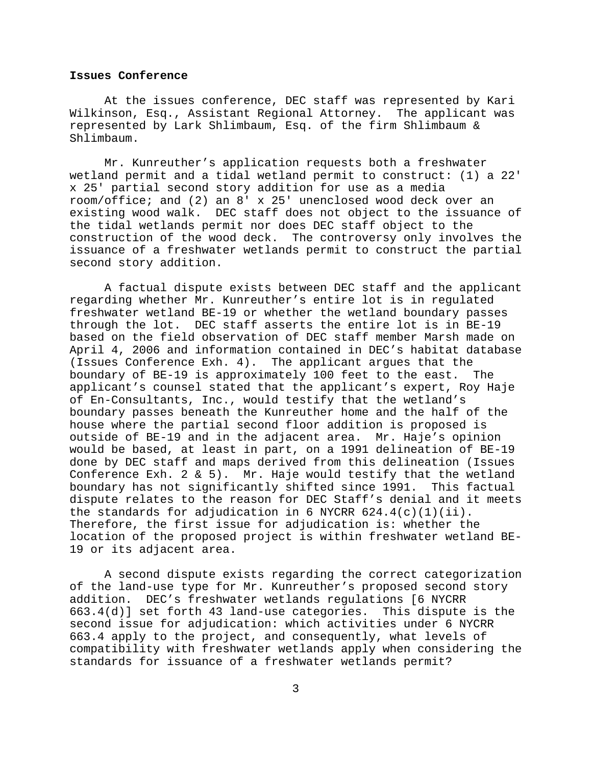## **Issues Conference**

At the issues conference, DEC staff was represented by Kari Wilkinson, Esq., Assistant Regional Attorney. The applicant was represented by Lark Shlimbaum, Esq. of the firm Shlimbaum & Shlimbaum.

Mr. Kunreuther's application requests both a freshwater wetland permit and a tidal wetland permit to construct: (1) a 22' x 25' partial second story addition for use as a media room/office; and (2) an 8' x 25' unenclosed wood deck over an existing wood walk. DEC staff does not object to the issuance of the tidal wetlands permit nor does DEC staff object to the construction of the wood deck. The controversy only involves the issuance of a freshwater wetlands permit to construct the partial second story addition.

A factual dispute exists between DEC staff and the applicant regarding whether Mr. Kunreuther's entire lot is in regulated freshwater wetland BE-19 or whether the wetland boundary passes through the lot. DEC staff asserts the entire lot is in BE-19 based on the field observation of DEC staff member Marsh made on April 4, 2006 and information contained in DEC's habitat database (Issues Conference Exh. 4). The applicant argues that the boundary of BE-19 is approximately 100 feet to the east. The applicant's counsel stated that the applicant's expert, Roy Haje of En-Consultants, Inc., would testify that the wetland's boundary passes beneath the Kunreuther home and the half of the house where the partial second floor addition is proposed is outside of BE-19 and in the adjacent area. Mr. Haje's opinion would be based, at least in part, on a 1991 delineation of BE-19 done by DEC staff and maps derived from this delineation (Issues Conference Exh. 2  $\&$  5). Mr. Haje would testify that the wetland boundary has not significantly shifted since 1991. This factual dispute relates to the reason for DEC Staff's denial and it meets the standards for adjudication in 6 NYCRR  $624.4(c)(1)(ii)$ . Therefore, the first issue for adjudication is: whether the location of the proposed project is within freshwater wetland BE-19 or its adjacent area.

A second dispute exists regarding the correct categorization of the land-use type for Mr. Kunreuther's proposed second story addition. DEC's freshwater wetlands regulations [6 NYCRR 663.4(d)] set forth 43 land-use categories. This dispute is the second issue for adjudication: which activities under 6 NYCRR 663.4 apply to the project, and consequently, what levels of compatibility with freshwater wetlands apply when considering the standards for issuance of a freshwater wetlands permit?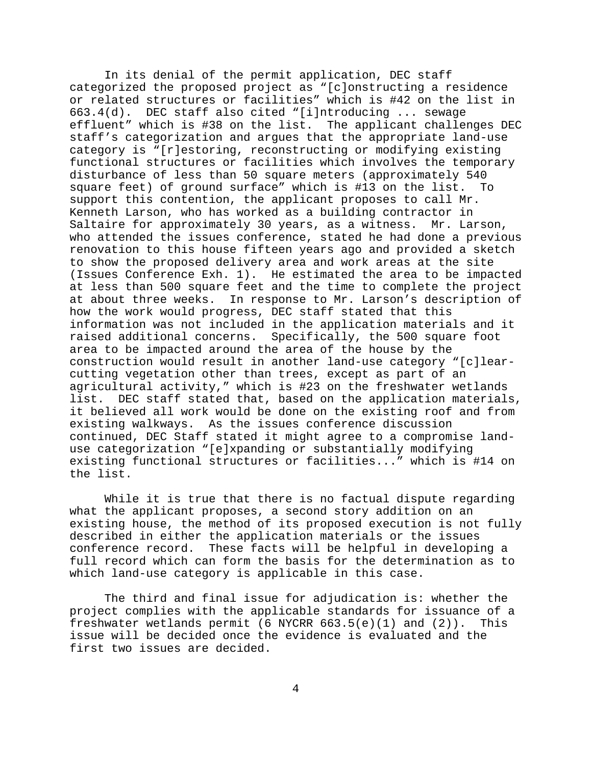In its denial of the permit application, DEC staff categorized the proposed project as "[c]onstructing a residence or related structures or facilities" which is #42 on the list in 663.4(d). DEC staff also cited "[i]ntroducing ... sewage effluent" which is #38 on the list. The applicant challenges DEC staff's categorization and argues that the appropriate land-use category is "[r]estoring, reconstructing or modifying existing functional structures or facilities which involves the temporary disturbance of less than 50 square meters (approximately 540 square feet) of ground surface" which is #13 on the list. To support this contention, the applicant proposes to call Mr. Kenneth Larson, who has worked as a building contractor in Saltaire for approximately 30 years, as a witness. Mr. Larson, who attended the issues conference, stated he had done a previous renovation to this house fifteen years ago and provided a sketch to show the proposed delivery area and work areas at the site (Issues Conference Exh. 1). He estimated the area to be impacted at less than 500 square feet and the time to complete the project at about three weeks. In response to Mr. Larson's description of how the work would progress, DEC staff stated that this information was not included in the application materials and it raised additional concerns. Specifically, the 500 square foot area to be impacted around the area of the house by the construction would result in another land-use category "[c]learcutting vegetation other than trees, except as part of an agricultural activity," which is #23 on the freshwater wetlands list. DEC staff stated that, based on the application materials, it believed all work would be done on the existing roof and from existing walkways. As the issues conference discussion continued, DEC Staff stated it might agree to a compromise landuse categorization "[e]xpanding or substantially modifying existing functional structures or facilities..." which is #14 on the list.

While it is true that there is no factual dispute regarding what the applicant proposes, a second story addition on an existing house, the method of its proposed execution is not fully described in either the application materials or the issues conference record. These facts will be helpful in developing a full record which can form the basis for the determination as to which land-use category is applicable in this case.

The third and final issue for adjudication is: whether the project complies with the applicable standards for issuance of a freshwater wetlands permit (6 NYCRR  $663.5(e)(1)$  and  $(2)$ ). This issue will be decided once the evidence is evaluated and the first two issues are decided.